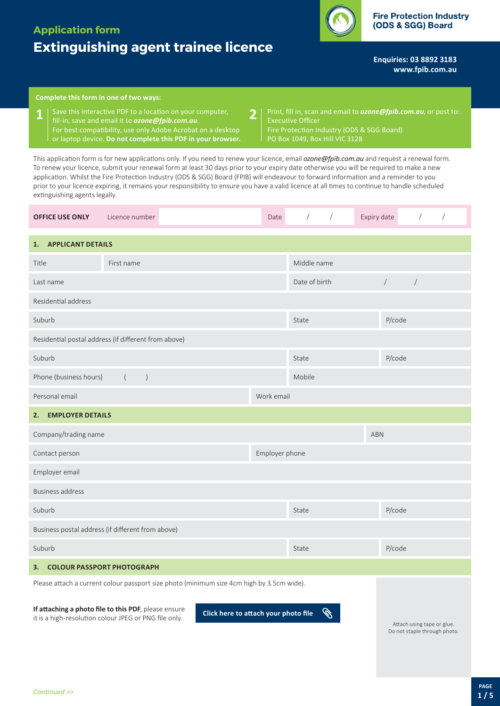## **Application form**

# **Extinguishing agent trainee licence**

**Enquiries: 03 8892 3183 <www.fpib.com.au>**

### **Complete this form in one of two ways:**

- **1** Save this interactive PDF to a location on your computer, **2**<br>**1 i** fill-in, save and email it to **ozone@foib.com.au**. fill-in, save and email it to *[ozone@fpib.com.au](mailto:ozone@fpib.com.au)*. For best compatibility, use only Adobe Acrobat on a desktop or laptop device. **Do not complete this PDF in your browser.**
- Print, fill in, scan and email to *[ozone@fpib.com.au](mailto:)*, or post to: Executive Officer Fire Protection Industry (ODS & SGG Board) PO Box 1049, Box Hill VIC 3128

This application form is for new applications only. If you need to renew your licence, email *[ozone@fpib.com.au](mailto:ozone@fpib.com.au)* and request a renewal form. To renew your licence, submit your renewal form at least 30 days prior to your expiry date otherwise you will be required to make a new application. Whilst the Fire Protection Industry (ODS & SGG) Board (FPIB) will endeavour to forward information and a reminder to you prior to your licence expiring, it remains your responsibility to ensure you have a valid licence at all times to continue to handle scheduled extinguishing agents legally.

| <b>OFFICE USE ONLY</b>                                                                    | Licence number                                       | Date           | $\sqrt{2}$<br>$\sqrt{2}$ | Expiry date    | $\sqrt{2}$           |  |
|-------------------------------------------------------------------------------------------|------------------------------------------------------|----------------|--------------------------|----------------|----------------------|--|
| <b>APPLICANT DETAILS</b><br>1.                                                            |                                                      |                |                          |                |                      |  |
| Title                                                                                     | First name                                           |                | Middle name              |                |                      |  |
| Last name                                                                                 |                                                      |                | Date of birth            | $\overline{ }$ | $\sqrt{\phantom{a}}$ |  |
| Residential address                                                                       |                                                      |                |                          |                |                      |  |
| Suburb                                                                                    |                                                      |                | P/code<br>State          |                |                      |  |
|                                                                                           | Residential postal address (if different from above) |                |                          |                |                      |  |
| Suburb                                                                                    |                                                      |                | State                    |                | P/code               |  |
| Phone (business hours)                                                                    |                                                      | Mobile         |                          |                |                      |  |
| Personal email                                                                            |                                                      |                | Work email               |                |                      |  |
| <b>EMPLOYER DETAILS</b><br>2.                                                             |                                                      |                |                          |                |                      |  |
| Company/trading name                                                                      |                                                      | <b>ABN</b>     |                          |                |                      |  |
| Contact person                                                                            |                                                      | Employer phone |                          |                |                      |  |
| Employer email                                                                            |                                                      |                |                          |                |                      |  |
| <b>Business address</b>                                                                   |                                                      |                |                          |                |                      |  |
| Suburb                                                                                    |                                                      |                | State                    | P/code         |                      |  |
| Business postal address (if different from above)                                         |                                                      |                |                          |                |                      |  |
| Suburb                                                                                    |                                                      |                | State                    | P/code         |                      |  |
| <b>COLOUR PASSPORT PHOTOGRAPH</b><br>3.                                                   |                                                      |                |                          |                |                      |  |
| Please attach a current colour passport size photo (minimum size 4cm high by 3.5cm wide). |                                                      |                |                          |                |                      |  |

**If attaching a photo file to this PDF**, please ensure it is a high-resolution colour JPEG or PNG file only. **Click here to attach your photo file**

**B** 

Attach using tape or glue. Do not staple through photo.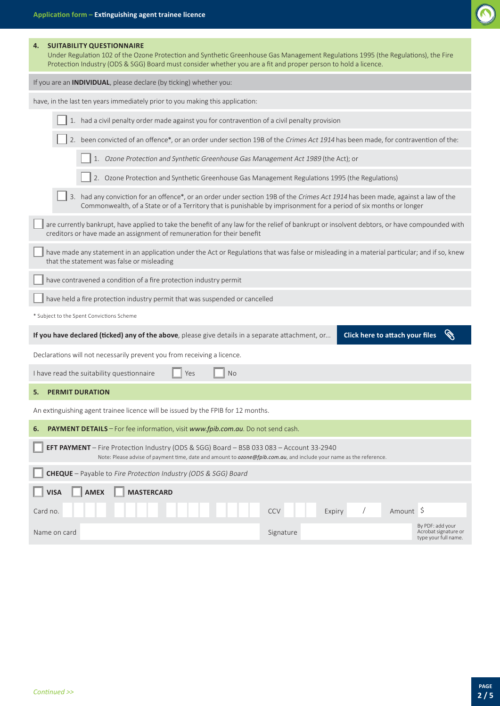

| <b>SUITABILITY QUESTIONNAIRE</b><br>4.<br>Under Regulation 102 of the Ozone Protection and Synthetic Greenhouse Gas Management Regulations 1995 (the Regulations), the Fire<br>Protection Industry (ODS & SGG) Board must consider whether you are a fit and proper person to hold a licence. |  |  |  |
|-----------------------------------------------------------------------------------------------------------------------------------------------------------------------------------------------------------------------------------------------------------------------------------------------|--|--|--|
| If you are an <b>INDIVIDUAL</b> , please declare (by ticking) whether you:                                                                                                                                                                                                                    |  |  |  |
| have, in the last ten years immediately prior to you making this application:                                                                                                                                                                                                                 |  |  |  |
| 1. had a civil penalty order made against you for contravention of a civil penalty provision                                                                                                                                                                                                  |  |  |  |
| 2. been convicted of an offence*, or an order under section 19B of the Crimes Act 1914 has been made, for contravention of the:                                                                                                                                                               |  |  |  |
| 1. Ozone Protection and Synthetic Greenhouse Gas Management Act 1989 (the Act); or                                                                                                                                                                                                            |  |  |  |
| 2. Ozone Protection and Synthetic Greenhouse Gas Management Regulations 1995 (the Regulations)                                                                                                                                                                                                |  |  |  |
| 3. had any conviction for an offence*, or an order under section 19B of the Crimes Act 1914 has been made, against a law of the<br>Commonwealth, of a State or of a Territory that is punishable by imprisonment for a period of six months or longer                                         |  |  |  |
| are currently bankrupt, have applied to take the benefit of any law for the relief of bankrupt or insolvent debtors, or have compounded with<br>creditors or have made an assignment of remuneration for their benefit                                                                        |  |  |  |
| have made any statement in an application under the Act or Regulations that was false or misleading in a material particular; and if so, knew<br>that the statement was false or misleading                                                                                                   |  |  |  |
| have contravened a condition of a fire protection industry permit                                                                                                                                                                                                                             |  |  |  |
| have held a fire protection industry permit that was suspended or cancelled                                                                                                                                                                                                                   |  |  |  |
| * Subject to the Spent Convictions Scheme                                                                                                                                                                                                                                                     |  |  |  |
| If you have declared (ticked) any of the above, please give details in a separate attachment, or<br><b>Click here to attach your files</b>                                                                                                                                                    |  |  |  |
| Declarations will not necessarily prevent you from receiving a licence.                                                                                                                                                                                                                       |  |  |  |
| <b>No</b><br>I have read the suitability questionnaire<br>Yes                                                                                                                                                                                                                                 |  |  |  |
| <b>PERMIT DURATION</b><br>5.                                                                                                                                                                                                                                                                  |  |  |  |
| An extinguishing agent trainee licence will be issued by the FPIB for 12 months.                                                                                                                                                                                                              |  |  |  |
| PAYMENT DETAILS - For fee information, visit www.fpib.com.au. Do not send cash.<br>6.                                                                                                                                                                                                         |  |  |  |
| <b>EFT PAYMENT</b> - Fire Protection Industry (ODS & SGG) Board - BSB 033 083 - Account 33-2940<br>Note: Please advise of payment time, date and amount to <i>ozone@fpib.com.au</i> , and include your name as the reference.                                                                 |  |  |  |
| <b>CHEQUE</b> - Payable to Fire Protection Industry (ODS & SGG) Board                                                                                                                                                                                                                         |  |  |  |
| <b>MASTERCARD</b><br><b>VISA</b><br><b>AMEX</b>                                                                                                                                                                                                                                               |  |  |  |
| Amount \$<br>Card no.<br><b>CCV</b><br>Expiry                                                                                                                                                                                                                                                 |  |  |  |

Name on card Signature Signature Signature By PDF: add your Acrobat signature or type your full name.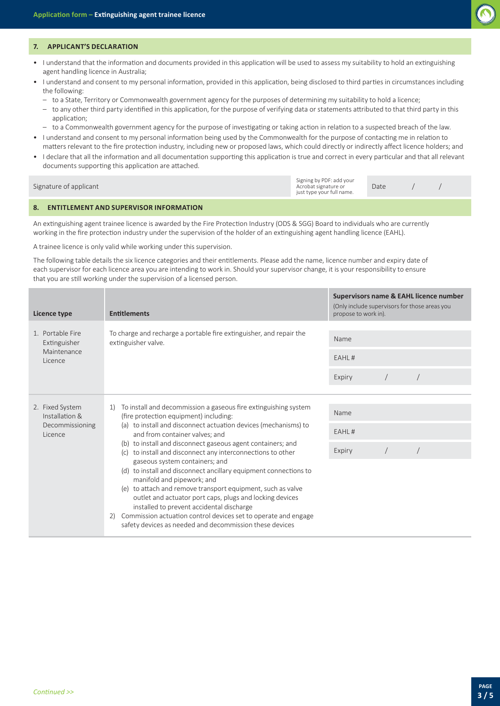

#### **7. APPLICANT'S DECLARATION**

- I understand that the information and documents provided in this application will be used to assess my suitability to hold an extinguishing agent handling licence in Australia;
- I understand and consent to my personal information, provided in this application, being disclosed to third parties in circumstances including the following:
- to a State, Territory or Commonwealth government agency for the purposes of determining my suitability to hold a licence;
- to any other third party identified in this application, for the purpose of verifying data or statements attributed to that third party in this application;
- to a Commonwealth government agency for the purpose of investigating or taking action in relation to a suspected breach of the law.
- I understand and consent to my personal information being used by the Commonwealth for the purpose of contacting me in relation to matters relevant to the fire protection industry, including new or proposed laws, which could directly or indirectly affect licence holders; and
- I declare that all the information and all documentation supporting this application is true and correct in every particular and that all relevant documents supporting this application are attached.

| Signature of applicant | Signing by PDF: add your<br>Acrobat signature or<br>just type your full name. | Date |  |
|------------------------|-------------------------------------------------------------------------------|------|--|
|                        |                                                                               |      |  |
|                        |                                                                               |      |  |

#### **8. ENTITLEMENT AND SUPERVISOR INFORMATION**

An extinguishing agent trainee licence is awarded by the Fire Protection Industry (ODS & SGG) Board to individuals who are currently working in the fire protection industry under the supervision of the holder of an extinguishing agent handling licence (EAHL).

A trainee licence is only valid while working under this supervision.

The following table details the six licence categories and their entitlements. Please add the name, licence number and expiry date of each supervisor for each licence area you are intending to work in. Should your supervisor change, it is your responsibility to ensure that you are still working under the supervision of a licensed person.

| Licence type                                                    | <b>Entitlements</b>                                                                                                                                                                                                                                                                                                                                                                                                                                                                                                                                                                                                                                                                                                                                                                               | Supervisors name & EAHL licence number<br>(Only include supervisors for those areas you<br>propose to work in). |  |  |
|-----------------------------------------------------------------|---------------------------------------------------------------------------------------------------------------------------------------------------------------------------------------------------------------------------------------------------------------------------------------------------------------------------------------------------------------------------------------------------------------------------------------------------------------------------------------------------------------------------------------------------------------------------------------------------------------------------------------------------------------------------------------------------------------------------------------------------------------------------------------------------|-----------------------------------------------------------------------------------------------------------------|--|--|
| 1. Portable Fire<br>Extinguisher<br>Maintenance<br>Licence      | To charge and recharge a portable fire extinguisher, and repair the<br>extinguisher valve.                                                                                                                                                                                                                                                                                                                                                                                                                                                                                                                                                                                                                                                                                                        | Name<br>EAHL#<br>Expiry                                                                                         |  |  |
| 2. Fixed System<br>Installation &<br>Decommissioning<br>Licence | To install and decommission a gaseous fire extinguishing system<br>1)<br>(fire protection equipment) including:<br>(a) to install and disconnect actuation devices (mechanisms) to<br>and from container valves; and<br>(b) to install and disconnect gaseous agent containers; and<br>(c) to install and disconnect any interconnections to other<br>gaseous system containers; and<br>(d) to install and disconnect ancillary equipment connections to<br>manifold and pipework; and<br>(e) to attach and remove transport equipment, such as valve<br>outlet and actuator port caps, plugs and locking devices<br>installed to prevent accidental discharge<br>Commission actuation control devices set to operate and engage<br>2)<br>safety devices as needed and decommission these devices | Name<br>EAHL#<br>Expiry                                                                                         |  |  |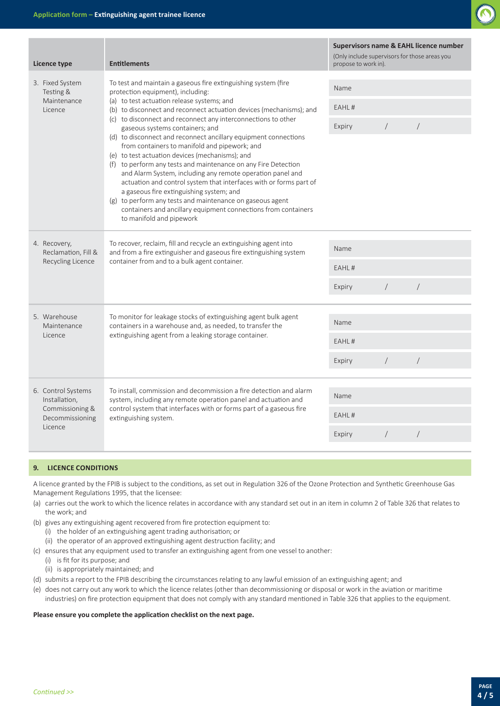

| Licence type                                                                         | <b>Entitlements</b>                                                                                                                                                                                                                                                                                                                                                                                                                                                                                                                                                                                                                                                                  | Supervisors name & EAHL licence number<br>(Only include supervisors for those areas you<br>propose to work in). |            |            |
|--------------------------------------------------------------------------------------|--------------------------------------------------------------------------------------------------------------------------------------------------------------------------------------------------------------------------------------------------------------------------------------------------------------------------------------------------------------------------------------------------------------------------------------------------------------------------------------------------------------------------------------------------------------------------------------------------------------------------------------------------------------------------------------|-----------------------------------------------------------------------------------------------------------------|------------|------------|
| 3. Fixed System<br>Testing &<br>Maintenance<br>Licence                               | To test and maintain a gaseous fire extinguishing system (fire<br>protection equipment), including:<br>(a) to test actuation release systems; and<br>(b) to disconnect and reconnect actuation devices (mechanisms); and                                                                                                                                                                                                                                                                                                                                                                                                                                                             | Name                                                                                                            |            |            |
|                                                                                      |                                                                                                                                                                                                                                                                                                                                                                                                                                                                                                                                                                                                                                                                                      | EAHL#                                                                                                           |            |            |
|                                                                                      | (c) to disconnect and reconnect any interconnections to other<br>gaseous systems containers; and<br>(d) to disconnect and reconnect ancillary equipment connections<br>from containers to manifold and pipework; and<br>(e) to test actuation devices (mechanisms); and<br>(f) to perform any tests and maintenance on any Fire Detection<br>and Alarm System, including any remote operation panel and<br>actuation and control system that interfaces with or forms part of<br>a gaseous fire extinguishing system; and<br>(g) to perform any tests and maintenance on gaseous agent<br>containers and ancillary equipment connections from containers<br>to manifold and pipework |                                                                                                                 | $\sqrt{2}$ | $\sqrt{2}$ |
| 4. Recovery,<br>Reclamation, Fill &<br>Recycling Licence                             | To recover, reclaim, fill and recycle an extinguishing agent into<br>and from a fire extinguisher and gaseous fire extinguishing system<br>container from and to a bulk agent container.                                                                                                                                                                                                                                                                                                                                                                                                                                                                                             | Name                                                                                                            |            |            |
|                                                                                      |                                                                                                                                                                                                                                                                                                                                                                                                                                                                                                                                                                                                                                                                                      | EAHL#                                                                                                           |            |            |
|                                                                                      |                                                                                                                                                                                                                                                                                                                                                                                                                                                                                                                                                                                                                                                                                      | Expiry                                                                                                          | $\sqrt{2}$ | $\sqrt{2}$ |
| 5. Warehouse<br>Maintenance<br>Licence                                               | To monitor for leakage stocks of extinguishing agent bulk agent<br>containers in a warehouse and, as needed, to transfer the<br>extinguishing agent from a leaking storage container.                                                                                                                                                                                                                                                                                                                                                                                                                                                                                                | Name                                                                                                            |            |            |
|                                                                                      |                                                                                                                                                                                                                                                                                                                                                                                                                                                                                                                                                                                                                                                                                      | EAHL#                                                                                                           |            |            |
|                                                                                      |                                                                                                                                                                                                                                                                                                                                                                                                                                                                                                                                                                                                                                                                                      | Expiry                                                                                                          | $\sqrt{2}$ | $\sqrt{2}$ |
| 6. Control Systems<br>Installation,<br>Commissioning &<br>Decommissioning<br>Licence | To install, commission and decommission a fire detection and alarm<br>system, including any remote operation panel and actuation and<br>control system that interfaces with or forms part of a gaseous fire<br>extinguishing system.                                                                                                                                                                                                                                                                                                                                                                                                                                                 | Name                                                                                                            |            |            |
|                                                                                      |                                                                                                                                                                                                                                                                                                                                                                                                                                                                                                                                                                                                                                                                                      | EAHL#                                                                                                           |            |            |
|                                                                                      |                                                                                                                                                                                                                                                                                                                                                                                                                                                                                                                                                                                                                                                                                      | Expiry                                                                                                          | $\sqrt{2}$ | $\bigg)$   |

#### **9. LICENCE CONDITIONS**

A licence granted by the FPIB is subject to the conditions, as set out in Regulation 326 of the Ozone Protection and Synthetic Greenhouse Gas Management Regulations 1995, that the licensee:

- (a) carries out the work to which the licence relates in accordance with any standard set out in an item in column 2 of Table 326 that relates to the work; and
- (b) gives any extinguishing agent recovered from fire protection equipment to:
	- (i) the holder of an extinguishing agent trading authorisation; or
	- (ii) the operator of an approved extinguishing agent destruction facility; and
- (c) ensures that any equipment used to transfer an extinguishing agent from one vessel to another:
	- (i) is fit for its purpose; and
	- (ii) is appropriately maintained; and
- (d) submits a report to the FPIB describing the circumstances relating to any lawful emission of an extinguishing agent; and
- (e) does not carry out any work to which the licence relates (other than decommissioning or disposal or work in the aviation or maritime industries) on fire protection equipment that does not comply with any standard mentioned in Table 326 that applies to the equipment.

#### **Please ensure you complete the application checklist on the next page.**